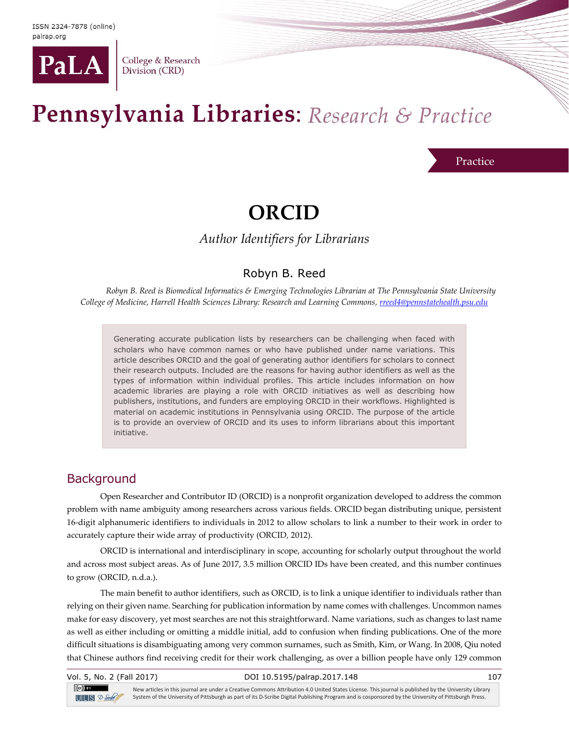

College & Research Division (CRD)

# Pennsylvania Libraries: Research & Practice

#### Practice

# **ORCID**

*Author Identifiers for Librarians*

#### Robyn B. Reed

*Robyn B. Reed is Biomedical Informatics & Emerging Technologies Librarian at The Pennsylvania State University College of Medicine, Harrell Health Sciences Library: Research and Learning Commons[, rreed4@pennstatehealth.psu.edu](mailto:rreed4@pennstatehealth.psu.edu)*

Generating accurate publication lists by researchers can be challenging when faced with scholars who have common names or who have published under name variations. This article describes ORCID and the goal of generating author identifiers for scholars to connect their research outputs. Included are the reasons for having author identifiers as well as the types of information within individual profiles. This article includes information on how academic libraries are playing a role with ORCID initiatives as well as describing how publishers, institutions, and funders are employing ORCID in their workflows. Highlighted is material on academic institutions in Pennsylvania using ORCID. The purpose of the article is to provide an overview of ORCID and its uses to inform librarians about this important initiative.

#### **Background**

Open Researcher and Contributor ID (ORCID) is a nonprofit organization developed to address the common problem with name ambiguity among researchers across various fields. ORCID began distributing unique, persistent 16-digit alphanumeric identifiers to individuals in 2012 to allow scholars to link a number to their work in order to accurately capture their wide array of productivity (ORCID, 2012).

ORCID is international and interdisciplinary in scope, accounting for scholarly output throughout the world and across most subject areas. As of June 2017, 3.5 million ORCID IDs have been created, and this number continues to grow (ORCID, n.d.a.).

The main benefit to author identifiers, such as ORCID, is to link a unique identifier to individuals rather than relying on their given name. Searching for publication information by name comes with challenges. Uncommon names make for easy discovery, yet most searches are not this straightforward. Name variations, such as changes to last name as well as either including or omitting a middle initial, add to confusion when finding publications. One of the more difficult situations is disambiguating among very common surnames, such as Smith, Kim, or Wang. In 2008, Qiu noted that Chinese authors find receiving credit for their work challenging, as over a billion people have only 129 common

Vol. 5, No. 2 (Fall 2017) DOI 10.5195/palrap.2017.148 107  $\left(\mathrm{cc}\right)$  BY New articles in this journal are under a Creative Commons Attribution 4.0 United States License. This journal is published by the University Library System of the University of Pittsburgh as part of its D-Scribe Digital Publishing Program and is cosponsored by the University of Pittsburgh Press.  $T = S$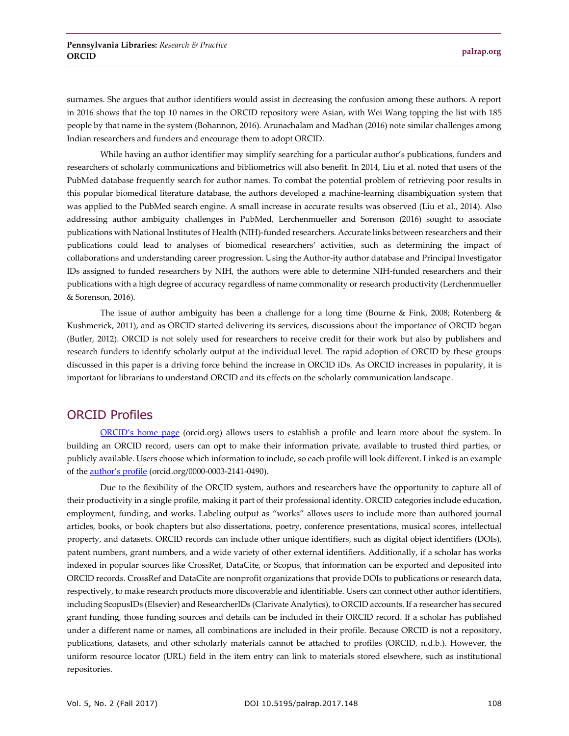surnames. She argues that author identifiers would assist in decreasing the confusion among these authors. A report in 2016 shows that the top 10 names in the ORCID repository were Asian, with Wei Wang topping the list with 185 people by that name in the system (Bohannon, 2016). Arunachalam and Madhan (2016) note similar challenges among Indian researchers and funders and encourage them to adopt ORCID.

While having an author identifier may simplify searching for a particular author's publications, funders and researchers of scholarly communications and bibliometrics will also benefit. In 2014, Liu et al. noted that users of the PubMed database frequently search for author names. To combat the potential problem of retrieving poor results in this popular biomedical literature database, the authors developed a machine-learning disambiguation system that was applied to the PubMed search engine. A small increase in accurate results was observed (Liu et al., 2014). Also addressing author ambiguity challenges in PubMed, Lerchenmueller and Sorenson (2016) sought to associate publications with National Institutes of Health (NIH)-funded researchers. Accurate links between researchers and their publications could lead to analyses of biomedical researchers' activities, such as determining the impact of collaborations and understanding career progression. Using the Author-ity author database and Principal Investigator IDs assigned to funded researchers by NIH, the authors were able to determine NIH-funded researchers and their publications with a high degree of accuracy regardless of name commonality or research productivity (Lerchenmueller & Sorenson, 2016).

The issue of author ambiguity has been a challenge for a long time (Bourne & Fink, 2008; Rotenberg & Kushmerick, 2011), and as ORCID started delivering its services, discussions about the importance of ORCID began (Butler, 2012). ORCID is not solely used for researchers to receive credit for their work but also by publishers and research funders to identify scholarly output at the individual level. The rapid adoption of ORCID by these groups discussed in this paper is a driving force behind the increase in ORCID iDs. As ORCID increases in popularity, it is important for librarians to understand ORCID and its effects on the scholarly communication landscape.

#### ORCID Profiles

ORCID['s home page](https://orcid.org/) (orcid.org) allows users to establish a profile and learn more about the system. In building an ORCID record, users can opt to make their information private, available to trusted third parties, or publicly available. Users choose which information to include, so each profile will look different. Linked is an example of the [author's profile](http://orcid.org/0000-0003-2141-0490) (orcid.org/0000-0003-2141-0490).

Due to the flexibility of the ORCID system, authors and researchers have the opportunity to capture all of their productivity in a single profile, making it part of their professional identity. ORCID categories include education, employment, funding, and works. Labeling output as "works" allows users to include more than authored journal articles, books, or book chapters but also dissertations, poetry, conference presentations, musical scores, intellectual property, and datasets. ORCID records can include other unique identifiers, such as digital object identifiers (DOIs), patent numbers, grant numbers, and a wide variety of other external identifiers. Additionally, if a scholar has works indexed in popular sources like CrossRef, DataCite, or Scopus, that information can be exported and deposited into ORCID records. CrossRef and DataCite are nonprofit organizations that provide DOIs to publications or research data, respectively, to make research products more discoverable and identifiable. Users can connect other author identifiers, including ScopusIDs (Elsevier) and ResearcherIDs (Clarivate Analytics), to ORCID accounts. If a researcher has secured grant funding, those funding sources and details can be included in their ORCID record. If a scholar has published under a different name or names, all combinations are included in their profile. Because ORCID is not a repository, publications, datasets, and other scholarly materials cannot be attached to profiles (ORCID, n.d.b.). However, the uniform resource locator (URL) field in the item entry can link to materials stored elsewhere, such as institutional repositories.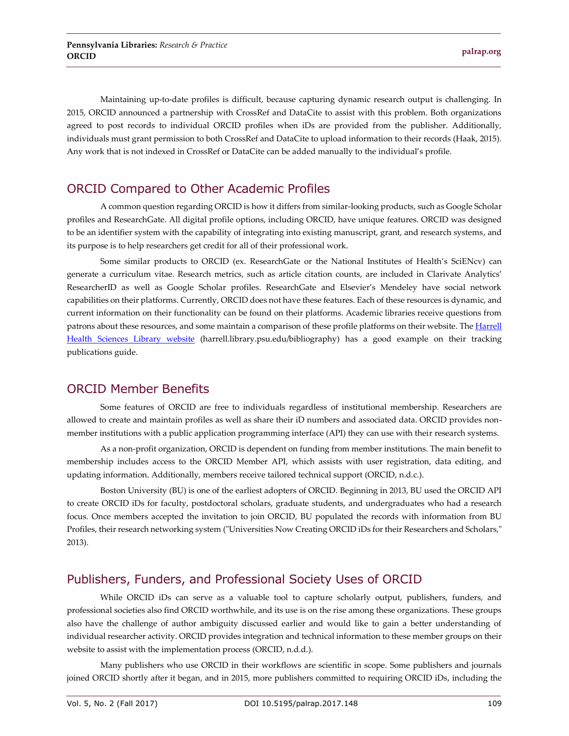Maintaining up-to-date profiles is difficult, because capturing dynamic research output is challenging. In 2015, ORCID announced a partnership with CrossRef and DataCite to assist with this problem. Both organizations agreed to post records to individual ORCID profiles when iDs are provided from the publisher. Additionally, individuals must grant permission to both CrossRef and DataCite to upload information to their records (Haak, 2015). Any work that is not indexed in CrossRef or DataCite can be added manually to the individual's profile.

### ORCID Compared to Other Academic Profiles

A common question regarding ORCID is how it differs from similar-looking products, such as Google Scholar profiles and ResearchGate. All digital profile options, including ORCID, have unique features. ORCID was designed to be an identifier system with the capability of integrating into existing manuscript, grant, and research systems, and its purpose is to help researchers get credit for all of their professional work.

Some similar products to ORCID (ex. ResearchGate or the National Institutes of Health's SciENcv) can generate a curriculum vitae. Research metrics, such as article citation counts, are included in Clarivate Analytics' ResearcherID as well as Google Scholar profiles. ResearchGate and Elsevier's Mendeley have social network capabilities on their platforms. Currently, ORCID does not have these features. Each of these resources is dynamic, and current information on their functionality can be found on their platforms. Academic libraries receive questions from patrons about these resources, and some maintain a comparison of these profile platforms on their website. Th[e Harrell](http://harrell.library.psu.edu/bibliography)  [Health Sciences Library website](http://harrell.library.psu.edu/bibliography) (harrell.library.psu.edu/bibliography) has a good example on their tracking publications guide.

#### ORCID Member Benefits

Some features of ORCID are free to individuals regardless of institutional membership. Researchers are allowed to create and maintain profiles as well as share their iD numbers and associated data. ORCID provides nonmember institutions with a public application programming interface (API) they can use with their research systems.

As a non-profit organization, ORCID is dependent on funding from member institutions. The main benefit to membership includes access to the ORCID Member API, which assists with user registration, data editing, and updating information. Additionally, members receive tailored technical support (ORCID, n.d.c.).

Boston University (BU) is one of the earliest adopters of ORCID. Beginning in 2013, BU used the ORCID API to create ORCID iDs for faculty, postdoctoral scholars, graduate students, and undergraduates who had a research focus. Once members accepted the invitation to join ORCID, BU populated the records with information from BU Profiles, their research networking system ("Universities Now Creating ORCID iDs for their Researchers and Scholars," 2013).

## Publishers, Funders, and Professional Society Uses of ORCID

While ORCID iDs can serve as a valuable tool to capture scholarly output, publishers, funders, and professional societies also find ORCID worthwhile, and its use is on the rise among these organizations. These groups also have the challenge of author ambiguity discussed earlier and would like to gain a better understanding of individual researcher activity. ORCID provides integration and technical information to these member groups on their website to assist with the implementation process (ORCID, n.d.d.).

Many publishers who use ORCID in their workflows are scientific in scope. Some publishers and journals joined ORCID shortly after it began, and in 2015, more publishers committed to requiring ORCID iDs, including the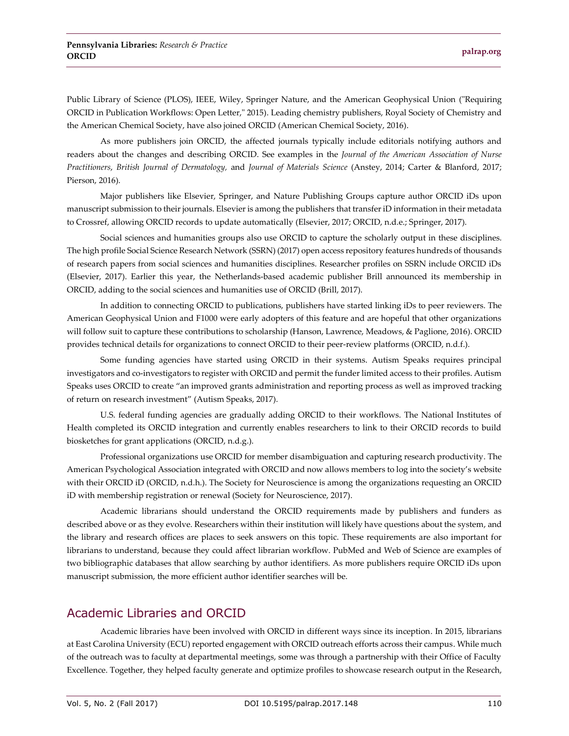Public Library of Science (PLOS), IEEE, Wiley, Springer Nature, and the American Geophysical Union ("Requiring ORCID in Publication Workflows: Open Letter," 2015). Leading chemistry publishers, Royal Society of Chemistry and the American Chemical Society, have also joined ORCID (American Chemical Society, 2016).

As more publishers join ORCID, the affected journals typically include editorials notifying authors and readers about the changes and describing ORCID. See examples in the *Journal of the American Association of Nurse Practitioners*, *British Journal of Dermatology,* and *Journal of Materials Science* (Anstey, 2014; Carter & Blanford, 2017; Pierson, 2016).

Major publishers like Elsevier, Springer, and Nature Publishing Groups capture author ORCID iDs upon manuscript submission to their journals. Elsevier is among the publishers that transfer iD information in their metadata to Crossref, allowing ORCID records to update automatically (Elsevier, 2017; ORCID, n.d.e.; Springer, 2017).

Social sciences and humanities groups also use ORCID to capture the scholarly output in these disciplines. The high profile Social Science Research Network (SSRN) (2017) open access repository features hundreds of thousands of research papers from social sciences and humanities disciplines. Researcher profiles on SSRN include ORCID iDs (Elsevier, 2017). Earlier this year, the Netherlands-based academic publisher Brill announced its membership in ORCID, adding to the social sciences and humanities use of ORCID (Brill, 2017).

In addition to connecting ORCID to publications, publishers have started linking iDs to peer reviewers. The American Geophysical Union and F1000 were early adopters of this feature and are hopeful that other organizations will follow suit to capture these contributions to scholarship (Hanson, Lawrence, Meadows, & Paglione, 2016). ORCID provides technical details for organizations to connect ORCID to their peer-review platforms (ORCID, n.d.f.).

Some funding agencies have started using ORCID in their systems. Autism Speaks requires principal investigators and co-investigators to register with ORCID and permit the funder limited access to their profiles. Autism Speaks uses ORCID to create "an improved grants administration and reporting process as well as improved tracking of return on research investment" (Autism Speaks, 2017).

U.S. federal funding agencies are gradually adding ORCID to their workflows. The National Institutes of Health completed its ORCID integration and currently enables researchers to link to their ORCID records to build biosketches for grant applications (ORCID, n.d.g.).

Professional organizations use ORCID for member disambiguation and capturing research productivity. The American Psychological Association integrated with ORCID and now allows members to log into the society's website with their ORCID iD (ORCID, n.d.h.). The Society for Neuroscience is among the organizations requesting an ORCID iD with membership registration or renewal (Society for Neuroscience, 2017).

Academic librarians should understand the ORCID requirements made by publishers and funders as described above or as they evolve. Researchers within their institution will likely have questions about the system, and the library and research offices are places to seek answers on this topic. These requirements are also important for librarians to understand, because they could affect librarian workflow. PubMed and Web of Science are examples of two bibliographic databases that allow searching by author identifiers. As more publishers require ORCID iDs upon manuscript submission, the more efficient author identifier searches will be.

#### Academic Libraries and ORCID

Academic libraries have been involved with ORCID in different ways since its inception. In 2015, librarians at East Carolina University (ECU) reported engagement with ORCID outreach efforts across their campus. While much of the outreach was to faculty at departmental meetings, some was through a partnership with their Office of Faculty Excellence. Together, they helped faculty generate and optimize profiles to showcase research output in the Research,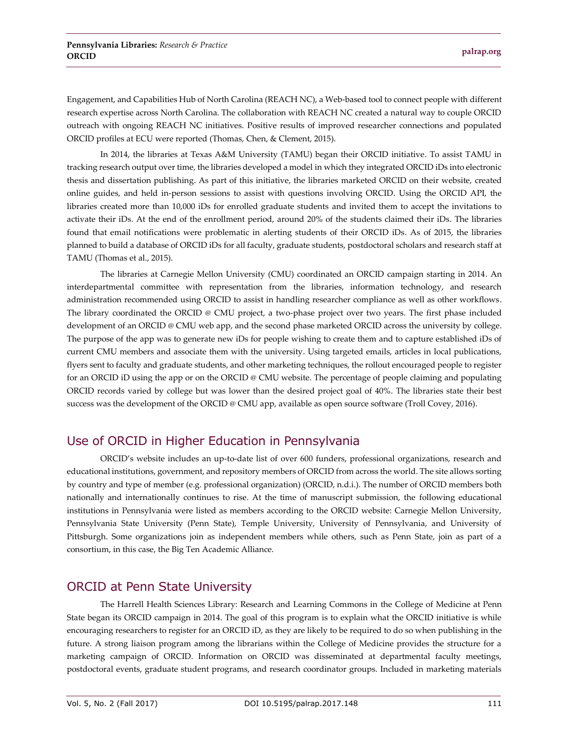Engagement, and Capabilities Hub of North Carolina (REACH NC), a Web-based tool to connect people with different research expertise across North Carolina. The collaboration with REACH NC created a natural way to couple ORCID outreach with ongoing REACH NC initiatives. Positive results of improved researcher connections and populated ORCID profiles at ECU were reported (Thomas, Chen, & Clement, 2015).

In 2014, the libraries at Texas A&M University (TAMU) began their ORCID initiative. To assist TAMU in tracking research output over time, the libraries developed a model in which they integrated ORCID iDs into electronic thesis and dissertation publishing. As part of this initiative, the libraries marketed ORCID on their website, created online guides, and held in-person sessions to assist with questions involving ORCID. Using the ORCID API, the libraries created more than 10,000 iDs for enrolled graduate students and invited them to accept the invitations to activate their iDs. At the end of the enrollment period, around 20% of the students claimed their iDs. The libraries found that email notifications were problematic in alerting students of their ORCID iDs. As of 2015, the libraries planned to build a database of ORCID iDs for all faculty, graduate students, postdoctoral scholars and research staff at TAMU (Thomas et al., 2015).

The libraries at Carnegie Mellon University (CMU) coordinated an ORCID campaign starting in 2014. An interdepartmental committee with representation from the libraries, information technology, and research administration recommended using ORCID to assist in handling researcher compliance as well as other workflows. The library coordinated the ORCID @ CMU project, a two-phase project over two years. The first phase included development of an ORCID @ CMU web app, and the second phase marketed ORCID across the university by college. The purpose of the app was to generate new iDs for people wishing to create them and to capture established iDs of current CMU members and associate them with the university. Using targeted emails, articles in local publications, flyers sent to faculty and graduate students, and other marketing techniques, the rollout encouraged people to register for an ORCID iD using the app or on the ORCID @ CMU website. The percentage of people claiming and populating ORCID records varied by college but was lower than the desired project goal of 40%. The libraries state their best success was the development of the ORCID @ CMU app, available as open source software (Troll Covey, 2016).

## Use of ORCID in Higher Education in Pennsylvania

ORCID's website includes an up-to-date list of over 600 funders, professional organizations, research and educational institutions, government, and repository members of ORCID from across the world. The site allows sorting by country and type of member (e.g. professional organization) (ORCID, n.d.i.). The number of ORCID members both nationally and internationally continues to rise. At the time of manuscript submission, the following educational institutions in Pennsylvania were listed as members according to the ORCID website: Carnegie Mellon University, Pennsylvania State University (Penn State), Temple University, University of Pennsylvania, and University of Pittsburgh. Some organizations join as independent members while others, such as Penn State, join as part of a consortium, in this case, the Big Ten Academic Alliance.

## ORCID at Penn State University

The Harrell Health Sciences Library: Research and Learning Commons in the College of Medicine at Penn State began its ORCID campaign in 2014. The goal of this program is to explain what the ORCID initiative is while encouraging researchers to register for an ORCID iD, as they are likely to be required to do so when publishing in the future. A strong liaison program among the librarians within the College of Medicine provides the structure for a marketing campaign of ORCID. Information on ORCID was disseminated at departmental faculty meetings, postdoctoral events, graduate student programs, and research coordinator groups. Included in marketing materials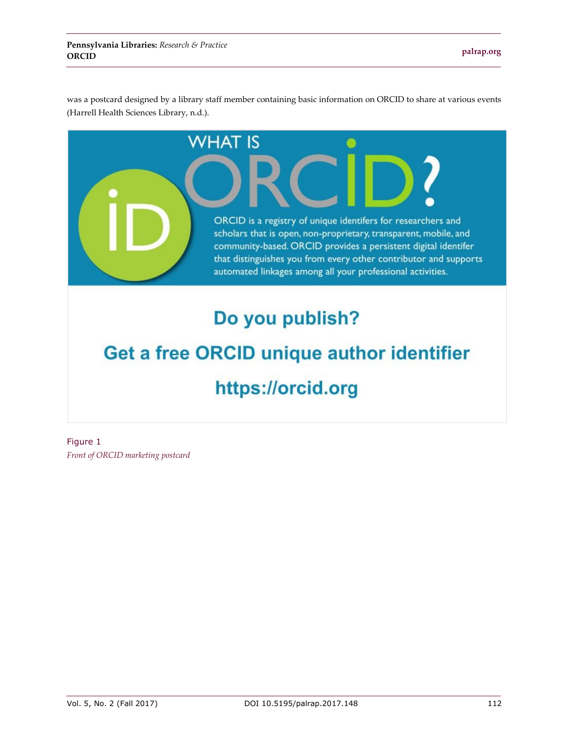was a postcard designed by a library staff member containing basic information on ORCID to share at various events (Harrell Health Sciences Library, n.d.).



# Do you publish?

# Get a free ORCID unique author identifier https://orcid.org

Figure 1 *Front of ORCID marketing postcard*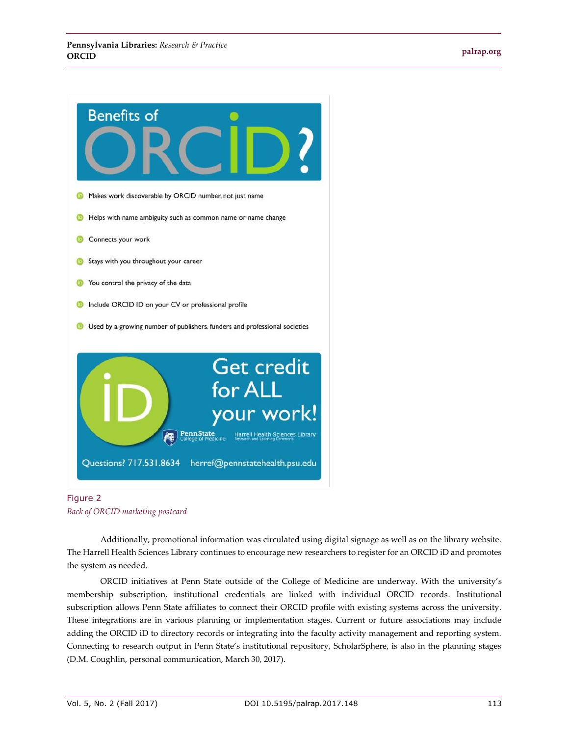

Figure 2 *Back of ORCID marketing postcard*

Additionally, promotional information was circulated using digital signage as well as on the library website. The Harrell Health Sciences Library continues to encourage new researchers to register for an ORCID iD and promotes the system as needed.

ORCID initiatives at Penn State outside of the College of Medicine are underway. With the university's membership subscription, institutional credentials are linked with individual ORCID records. Institutional subscription allows Penn State affiliates to connect their ORCID profile with existing systems across the university. These integrations are in various planning or implementation stages. Current or future associations may include adding the ORCID iD to directory records or integrating into the faculty activity management and reporting system. Connecting to research output in Penn State's institutional repository, ScholarSphere, is also in the planning stages (D.M. Coughlin, personal communication, March 30, 2017).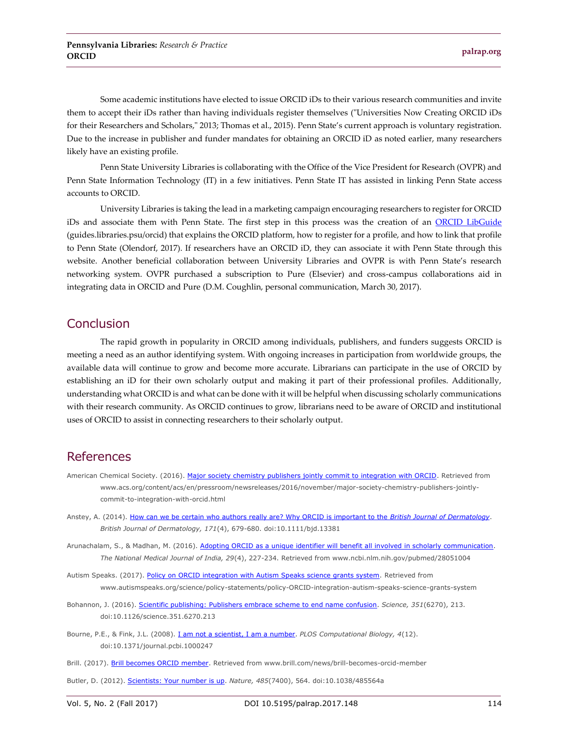Some academic institutions have elected to issue ORCID iDs to their various research communities and invite them to accept their iDs rather than having individuals register themselves ("Universities Now Creating ORCID iDs for their Researchers and Scholars," 2013; Thomas et al., 2015). Penn State's current approach is voluntary registration. Due to the increase in publisher and funder mandates for obtaining an ORCID iD as noted earlier, many researchers likely have an existing profile.

Penn State University Libraries is collaborating with the Office of the Vice President for Research (OVPR) and Penn State Information Technology (IT) in a few initiatives. Penn State IT has assisted in linking Penn State access accounts to ORCID.

University Libraries is taking the lead in a marketing campaign encouraging researchers to register for ORCID iDs and associate them with Penn State. The first step in this process was the creation of an [ORCID LibGuide](http://guides.libraries.psu.edu/orcid) (guides.libraries.psu/orcid) that explains the ORCID platform, how to register for a profile, and how to link that profile to Penn State (Olendorf, 2017). If researchers have an ORCID iD, they can associate it with Penn State through this website. Another beneficial collaboration between University Libraries and OVPR is with Penn State's research networking system. OVPR purchased a subscription to Pure (Elsevier) and cross-campus collaborations aid in integrating data in ORCID and Pure (D.M. Coughlin, personal communication, March 30, 2017).

#### Conclusion

The rapid growth in popularity in ORCID among individuals, publishers, and funders suggests ORCID is meeting a need as an author identifying system. With ongoing increases in participation from worldwide groups, the available data will continue to grow and become more accurate. Librarians can participate in the use of ORCID by establishing an iD for their own scholarly output and making it part of their professional profiles. Additionally, understanding what ORCID is and what can be done with it will be helpful when discussing scholarly communications with their research community. As ORCID continues to grow, librarians need to be aware of ORCID and institutional uses of ORCID to assist in connecting researchers to their scholarly output.

#### References

- American Chemical Society. (2016)[. Major society chemistry publishers jointly commit to integration with ORCID.](http://www.acs.org/content/acs/en/pressroom/newsreleases/2016/november/major-society-chemistry-publishers-jointly-commit-to-integration-with-orcid.html) Retrieved from www.acs.org/content/acs/en/pressroom/newsreleases/2016/november/major-society-chemistry-publishers-jointlycommit-to-integration-with-orcid.html
- Anstey, A. (2014). [How can we be certain who authors really are? Why ORCID is important to the](http://dx.doi.org/10.1111/bjd.13381) *British Journal of Dermatology*. *British Journal of Dermatology, 171*(4), 679-680. doi:10.1111/bjd.13381
- Arunachalam, S., & Madhan, M. (2016). [Adopting ORCID as a unique identifier will benefit all involved in scholarly communication.](https://www.ncbi.nlm.nih.gov/pubmed/28051004) *The National Medical Journal of India, 29*(4), 227-234. Retrieved from www.ncbi.nlm.nih.gov/pubmed/28051004
- Autism Speaks. (2017). [Policy on ORCID integration with Autism Speaks science grants system.](https://www.autismspeaks.org/science/policy-statements/policy-ORCID-integration-autism-speaks-science-grants-system) Retrieved from www.autismspeaks.org/science/policy-statements/policy-ORCID-integration-autism-speaks-science-grants-system
- Bohannon, J. (2016). Scientific publishing: [Publishers embrace scheme to end name confusion.](http://dx.doi.org/10.1126/science.351.6270.213) *Science, 351*(6270), 213. doi:10.1126/science.351.6270.213
- Bourne, P.E., & Fink, J.L. (2008)[. I am not a scientist, I am a number.](http://dx.doi.org/10.1371/journal.pcbi.1000247) *PLOS Computational Biology, 4*(12). doi:10.1371/journal.pcbi.1000247
- Brill. (2017)[. Brill becomes ORCID member.](http://www.brill.com/news/brill-becomes-orcid-member) Retrieved from www.brill.com/news/brill-becomes-orcid-member
- Butler, D. (2012)[. Scientists: Your number is up.](http://dx.doi.org/10.1038/485564a) *Nature, 485*(7400), 564. doi:10.1038/485564a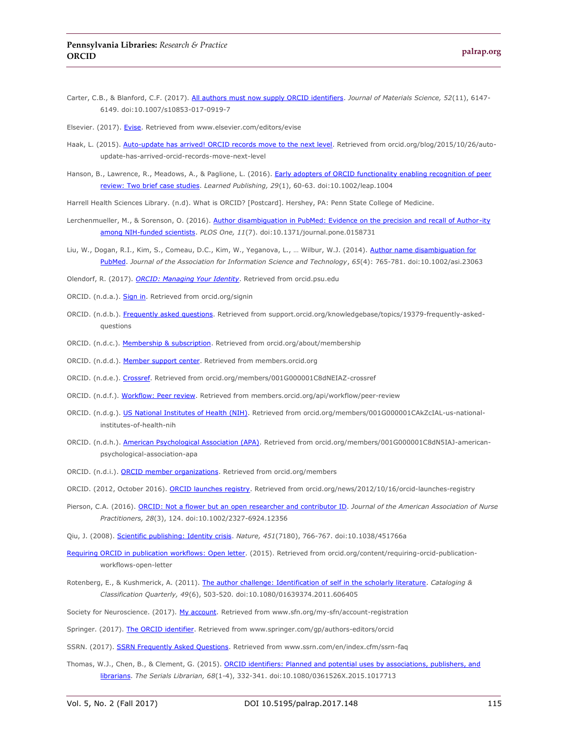- Carter, C.B., & Blanford, C.F. (2017). [All authors must now supply ORCID identifiers.](http://dx.doi.org/10.1007/s10853-017-0919-7) *Journal of Materials Science, 52*(11), 6147- 6149. doi:10.1007/s10853-017-0919-7
- Elsevier. (2017)[. Evise.](https://www.elsevier.com/editors/evise) Retrieved from www.elsevier.com/editors/evise
- Haak, L. (2015). [Auto-update has arrived! ORCID records move to the next level.](http://orcid.org/blog/2015/10/26/auto-update-has-arrived-orcid-records-move-next-level) Retrieved from orcid.org/blog/2015/10/26/autoupdate-has-arrived-orcid-records-move-next-level
- Hanson, B., Lawrence, R., Meadows, A., & Paglione, L. (2016). Early adopters of ORCID functionality enabling recognition of peer [review: Two brief case studies.](http://dx.doi.org/10.1002/leap.1004) *Learned Publishing, 29*(1), 60-63. doi:10.1002/leap.1004

Harrell Health Sciences Library. (n.d). What is ORCID? [Postcard]. Hershey, PA: Penn State College of Medicine.

- Lerchenmueller, M., & Sorenson, O. (2016). Author disambiguation in PubMed: Evidence on the precision and recall of Author-ity [among NIH-funded scientists.](http://dx.doi.org/10.1371/journal.pone.0158731) *PLOS One, 11*(7). doi:10.1371/journal.pone.0158731
- Liu, W., Dogan, R.I., Kim, S., Comeau, D.C., Kim, W., Yeganova, L., ... Wilbur, W.J. (2014). Author name disambiguation for [PubMed.](http://dx.doi.org/10.1002/asi.23063) *Journal of the Association for Information Science and Technology*, *65*(4): 765-781. doi:10.1002/asi.23063
- Olendorf, R. (2017). *[ORCID: Managing Your Identity](http://orcid.psu.edu/)*. Retrieved from orcid.psu.edu
- ORCID. (n.d.a.)[. Sign in.](https://orcid.org/signin) Retrieved from orcid.org/signin
- ORCID. (n.d.b.). [Frequently asked questions.](http://support.orcid.org/knowledgebase/topics/19379-frequently-asked-questions) Retrieved from support.orcid.org/knowledgebase/topics/19379-frequently-askedquestions
- ORCID. (n.d.c.). [Membership & subscription.](https://orcid.org/about/membership) Retrieved from orcid.org/about/membership
- ORCID. (n.d.d.). [Member support center.](https://members.orcid.org/) Retrieved from members.orcid.org
- ORCID. (n.d.e.). [Crossref.](https://orcid.org/members/001G000001C8dNEIAZ-crossref) Retrieved from orcid.org/members/001G000001C8dNEIAZ-crossref
- ORCID. (n.d.f.). [Workflow: Peer review.](https://members.orcid.org/api/workflow/peer-review) Retrieved from members.orcid.org/api/workflow/peer-review
- ORCID. (n.d.g.). [US National Institutes of Health \(NIH\).](https://orcid.org/members/001G000001CAkZcIAL-us-national-institutes-of-health-nih) Retrieved from orcid.org/members/001G000001CAkZcIAL-us-nationalinstitutes-of-health-nih
- ORCID. (n.d.h.). [American Psychological Association \(APA\).](https://orcid.org/members/001G000001C8dN5IAJ-american-psychological-association-apa) Retrieved from orcid.org/members/001G000001C8dN5IAJ-americanpsychological-association-apa
- ORCID. (n.d.i.). [ORCID member organizations.](https://orcid.org/members) Retrieved from orcid.org/members
- ORCID. (2012, October 2016)[. ORCID launches registry.](https://orcid.org/news/2012/10/16/orcid-launches-registry) Retrieved from orcid.org/news/2012/10/16/orcid-launches-registry
- Pierson, C.A. (2016). [ORCID: Not a flower but an open researcher and contributor ID.](http://dx.doi.org/10.1002/2327-6924.12356) *Journal of the American Association of Nurse Practitioners, 28*(3), 124. doi:10.1002/2327-6924.12356
- Qiu, J. (2008). [Scientific publishing: Identity crisis.](http://dx.doi.org/10.1038/451766a) *Nature, 451*(7180), 766-767. doi:10.1038/451766a
- [Requiring ORCID in publication workflows: Open letter.](https://orcid.org/content/requiring-orcid-publication-workflows-open-letter) (2015). Retrieved from orcid.org/content/requiring-orcid-publicationworkflows-open-letter
- Rotenberg, E., & Kushmerick, A. (2011). [The author challenge: Identification of self in the scholarly literature.](http://dx.doi.org/10.1080/01639374.2011.606405) *Cataloging & Classification Quarterly, 49*(6), 503-520. doi:10.1080/01639374.2011.606405
- Society for Neuroscience. (2017). [My account.](https://www.sfn.org/my-sfn/account-registration) Retrieved from www.sfn.org/my-sfn/account-registration
- Springer. (2017). [The ORCID identifier.](http://www.springer.com/gp/authors-editors/orcid) Retrieved from www.springer.com/gp/authors-editors/orcid
- SSRN. (2017). [SSRN Frequently Asked Questions.](https://www.ssrn.com/en/index.cfm/ssrn-faq/) Retrieved from www.ssrn.com/en/index.cfm/ssrn-faq
- Thomas, W.J., Chen, B., & Clement, G. (2015). ORCID identifiers: Planned and potential uses by associations, publishers, and [librarians.](http://dx.doi.org/10.1080/0361526X.2015.1017713) *The Serials Librarian, 68*(1-4), 332-341. doi:10.1080/0361526X.2015.1017713